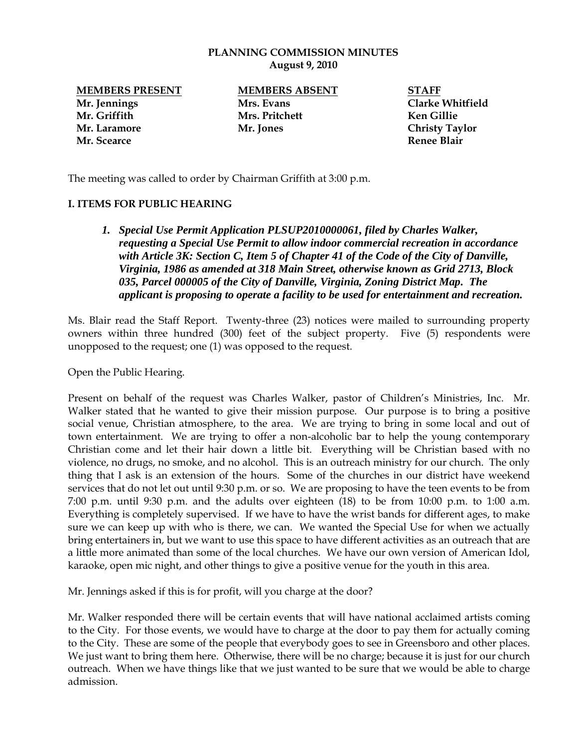#### **PLANNING COMMISSION MINUTES August 9, 2010**

**Mr. Jennings Mrs. Evans Clarke Whitfield Mr. Griffith Mrs. Pritchett Ken Gillie Mr. Laramore Mr. Jones Christy Taylor Mr. Scearce Renee Blair**

**MEMBERS PRESENT MEMBERS ABSENT STAFF**

The meeting was called to order by Chairman Griffith at 3:00 p.m.

### **I. ITEMS FOR PUBLIC HEARING**

*1. Special Use Permit Application PLSUP2010000061, filed by Charles Walker, requesting a Special Use Permit to allow indoor commercial recreation in accordance with Article 3K: Section C, Item 5 of Chapter 41 of the Code of the City of Danville, Virginia, 1986 as amended at 318 Main Street, otherwise known as Grid 2713, Block 035, Parcel 000005 of the City of Danville, Virginia, Zoning District Map. The applicant is proposing to operate a facility to be used for entertainment and recreation.* 

Ms. Blair read the Staff Report. Twenty-three (23) notices were mailed to surrounding property owners within three hundred (300) feet of the subject property. Five (5) respondents were unopposed to the request; one (1) was opposed to the request.

Open the Public Hearing.

Present on behalf of the request was Charles Walker, pastor of Children's Ministries, Inc. Mr. Walker stated that he wanted to give their mission purpose. Our purpose is to bring a positive social venue, Christian atmosphere, to the area. We are trying to bring in some local and out of town entertainment. We are trying to offer a non-alcoholic bar to help the young contemporary Christian come and let their hair down a little bit. Everything will be Christian based with no violence, no drugs, no smoke, and no alcohol. This is an outreach ministry for our church. The only thing that I ask is an extension of the hours. Some of the churches in our district have weekend services that do not let out until 9:30 p.m. or so. We are proposing to have the teen events to be from 7:00 p.m. until 9:30 p.m. and the adults over eighteen (18) to be from 10:00 p.m. to 1:00 a.m. Everything is completely supervised. If we have to have the wrist bands for different ages, to make sure we can keep up with who is there, we can. We wanted the Special Use for when we actually bring entertainers in, but we want to use this space to have different activities as an outreach that are a little more animated than some of the local churches. We have our own version of American Idol, karaoke, open mic night, and other things to give a positive venue for the youth in this area.

Mr. Jennings asked if this is for profit, will you charge at the door?

Mr. Walker responded there will be certain events that will have national acclaimed artists coming to the City. For those events, we would have to charge at the door to pay them for actually coming to the City. These are some of the people that everybody goes to see in Greensboro and other places. We just want to bring them here. Otherwise, there will be no charge; because it is just for our church outreach. When we have things like that we just wanted to be sure that we would be able to charge admission.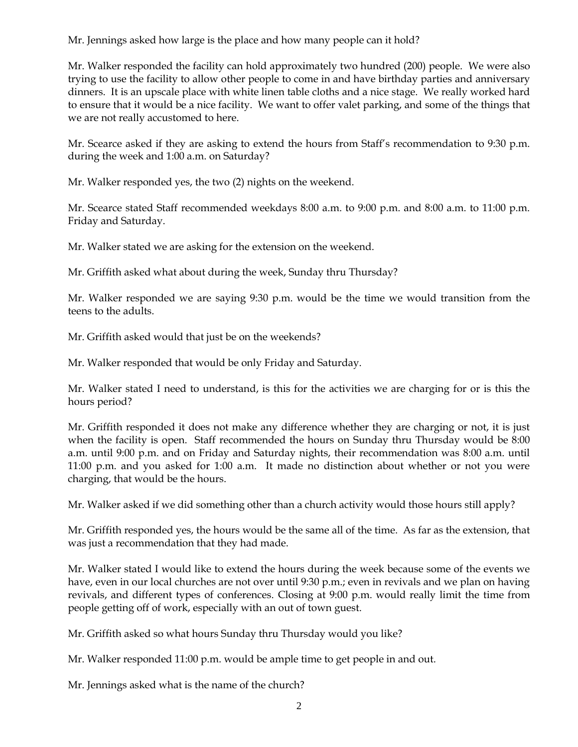Mr. Jennings asked how large is the place and how many people can it hold?

Mr. Walker responded the facility can hold approximately two hundred (200) people. We were also trying to use the facility to allow other people to come in and have birthday parties and anniversary dinners. It is an upscale place with white linen table cloths and a nice stage. We really worked hard to ensure that it would be a nice facility. We want to offer valet parking, and some of the things that we are not really accustomed to here.

Mr. Scearce asked if they are asking to extend the hours from Staff's recommendation to 9:30 p.m. during the week and 1:00 a.m. on Saturday?

Mr. Walker responded yes, the two (2) nights on the weekend.

Mr. Scearce stated Staff recommended weekdays 8:00 a.m. to 9:00 p.m. and 8:00 a.m. to 11:00 p.m. Friday and Saturday.

Mr. Walker stated we are asking for the extension on the weekend.

Mr. Griffith asked what about during the week, Sunday thru Thursday?

Mr. Walker responded we are saying 9:30 p.m. would be the time we would transition from the teens to the adults.

Mr. Griffith asked would that just be on the weekends?

Mr. Walker responded that would be only Friday and Saturday.

Mr. Walker stated I need to understand, is this for the activities we are charging for or is this the hours period?

Mr. Griffith responded it does not make any difference whether they are charging or not, it is just when the facility is open. Staff recommended the hours on Sunday thru Thursday would be 8:00 a.m. until 9:00 p.m. and on Friday and Saturday nights, their recommendation was 8:00 a.m. until 11:00 p.m. and you asked for 1:00 a.m. It made no distinction about whether or not you were charging, that would be the hours.

Mr. Walker asked if we did something other than a church activity would those hours still apply?

Mr. Griffith responded yes, the hours would be the same all of the time. As far as the extension, that was just a recommendation that they had made.

Mr. Walker stated I would like to extend the hours during the week because some of the events we have, even in our local churches are not over until 9:30 p.m.; even in revivals and we plan on having revivals, and different types of conferences. Closing at 9:00 p.m. would really limit the time from people getting off of work, especially with an out of town guest.

Mr. Griffith asked so what hours Sunday thru Thursday would you like?

Mr. Walker responded 11:00 p.m. would be ample time to get people in and out.

Mr. Jennings asked what is the name of the church?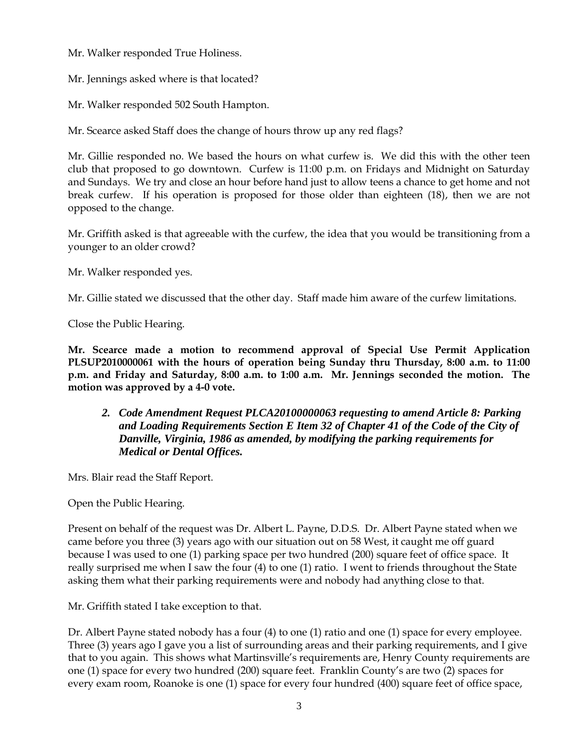Mr. Walker responded True Holiness.

Mr. Jennings asked where is that located?

Mr. Walker responded 502 South Hampton.

Mr. Scearce asked Staff does the change of hours throw up any red flags?

Mr. Gillie responded no. We based the hours on what curfew is. We did this with the other teen club that proposed to go downtown. Curfew is 11:00 p.m. on Fridays and Midnight on Saturday and Sundays. We try and close an hour before hand just to allow teens a chance to get home and not break curfew. If his operation is proposed for those older than eighteen (18), then we are not opposed to the change.

Mr. Griffith asked is that agreeable with the curfew, the idea that you would be transitioning from a younger to an older crowd?

Mr. Walker responded yes.

Mr. Gillie stated we discussed that the other day. Staff made him aware of the curfew limitations.

Close the Public Hearing.

**Mr. Scearce made a motion to recommend approval of Special Use Permit Application PLSUP2010000061 with the hours of operation being Sunday thru Thursday, 8:00 a.m. to 11:00 p.m. and Friday and Saturday, 8:00 a.m. to 1:00 a.m. Mr. Jennings seconded the motion. The motion was approved by a 4-0 vote.** 

# *2. Code Amendment Request PLCA20100000063 requesting to amend Article 8: Parking and Loading Requirements Section E Item 32 of Chapter 41 of the Code of the City of Danville, Virginia, 1986 as amended, by modifying the parking requirements for Medical or Dental Offices.*

Mrs. Blair read the Staff Report.

Open the Public Hearing.

Present on behalf of the request was Dr. Albert L. Payne, D.D.S. Dr. Albert Payne stated when we came before you three (3) years ago with our situation out on 58 West, it caught me off guard because I was used to one (1) parking space per two hundred (200) square feet of office space. It really surprised me when I saw the four (4) to one (1) ratio. I went to friends throughout the State asking them what their parking requirements were and nobody had anything close to that.

Mr. Griffith stated I take exception to that.

Dr. Albert Payne stated nobody has a four (4) to one (1) ratio and one (1) space for every employee. Three (3) years ago I gave you a list of surrounding areas and their parking requirements, and I give that to you again. This shows what Martinsville's requirements are, Henry County requirements are one (1) space for every two hundred (200) square feet. Franklin County's are two (2) spaces for every exam room, Roanoke is one (1) space for every four hundred (400) square feet of office space,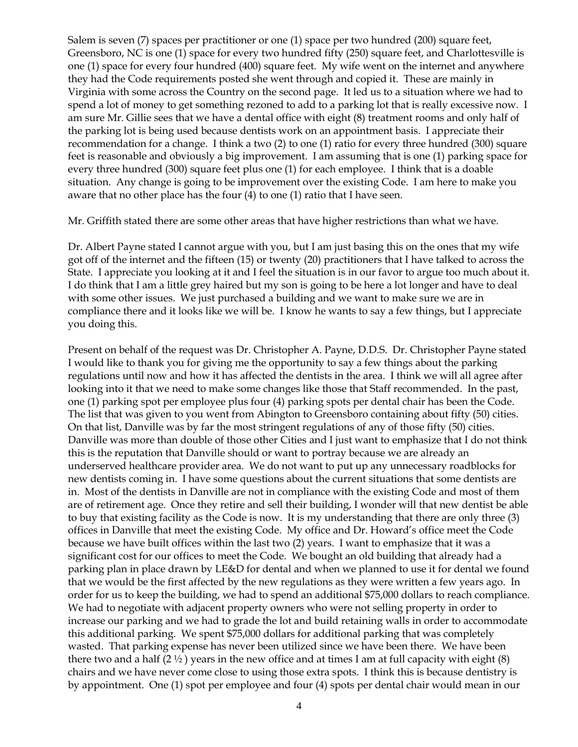Salem is seven (7) spaces per practitioner or one (1) space per two hundred (200) square feet, Greensboro, NC is one (1) space for every two hundred fifty (250) square feet, and Charlottesville is one (1) space for every four hundred (400) square feet. My wife went on the internet and anywhere they had the Code requirements posted she went through and copied it. These are mainly in Virginia with some across the Country on the second page. It led us to a situation where we had to spend a lot of money to get something rezoned to add to a parking lot that is really excessive now. I am sure Mr. Gillie sees that we have a dental office with eight (8) treatment rooms and only half of the parking lot is being used because dentists work on an appointment basis. I appreciate their recommendation for a change. I think a two (2) to one (1) ratio for every three hundred (300) square feet is reasonable and obviously a big improvement. I am assuming that is one (1) parking space for every three hundred (300) square feet plus one (1) for each employee. I think that is a doable situation. Any change is going to be improvement over the existing Code. I am here to make you aware that no other place has the four (4) to one (1) ratio that I have seen.

Mr. Griffith stated there are some other areas that have higher restrictions than what we have.

Dr. Albert Payne stated I cannot argue with you, but I am just basing this on the ones that my wife got off of the internet and the fifteen (15) or twenty (20) practitioners that I have talked to across the State. I appreciate you looking at it and I feel the situation is in our favor to argue too much about it. I do think that I am a little grey haired but my son is going to be here a lot longer and have to deal with some other issues. We just purchased a building and we want to make sure we are in compliance there and it looks like we will be. I know he wants to say a few things, but I appreciate you doing this.

Present on behalf of the request was Dr. Christopher A. Payne, D.D.S. Dr. Christopher Payne stated I would like to thank you for giving me the opportunity to say a few things about the parking regulations until now and how it has affected the dentists in the area. I think we will all agree after looking into it that we need to make some changes like those that Staff recommended. In the past, one (1) parking spot per employee plus four (4) parking spots per dental chair has been the Code. The list that was given to you went from Abington to Greensboro containing about fifty (50) cities. On that list, Danville was by far the most stringent regulations of any of those fifty (50) cities. Danville was more than double of those other Cities and I just want to emphasize that I do not think this is the reputation that Danville should or want to portray because we are already an underserved healthcare provider area. We do not want to put up any unnecessary roadblocks for new dentists coming in. I have some questions about the current situations that some dentists are in. Most of the dentists in Danville are not in compliance with the existing Code and most of them are of retirement age. Once they retire and sell their building, I wonder will that new dentist be able to buy that existing facility as the Code is now. It is my understanding that there are only three (3) offices in Danville that meet the existing Code. My office and Dr. Howard's office meet the Code because we have built offices within the last two (2) years. I want to emphasize that it was a significant cost for our offices to meet the Code. We bought an old building that already had a parking plan in place drawn by LE&D for dental and when we planned to use it for dental we found that we would be the first affected by the new regulations as they were written a few years ago. In order for us to keep the building, we had to spend an additional \$75,000 dollars to reach compliance. We had to negotiate with adjacent property owners who were not selling property in order to increase our parking and we had to grade the lot and build retaining walls in order to accommodate this additional parking. We spent \$75,000 dollars for additional parking that was completely wasted. That parking expense has never been utilized since we have been there. We have been there two and a half  $(2 \frac{1}{2})$  years in the new office and at times I am at full capacity with eight  $(8)$ chairs and we have never come close to using those extra spots. I think this is because dentistry is by appointment. One (1) spot per employee and four (4) spots per dental chair would mean in our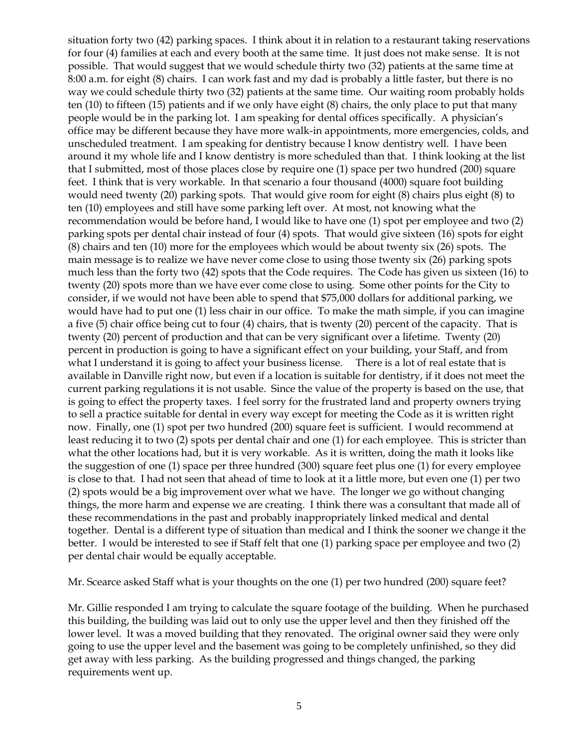situation forty two (42) parking spaces. I think about it in relation to a restaurant taking reservations for four (4) families at each and every booth at the same time. It just does not make sense. It is not possible. That would suggest that we would schedule thirty two (32) patients at the same time at 8:00 a.m. for eight (8) chairs. I can work fast and my dad is probably a little faster, but there is no way we could schedule thirty two (32) patients at the same time. Our waiting room probably holds ten (10) to fifteen (15) patients and if we only have eight (8) chairs, the only place to put that many people would be in the parking lot. I am speaking for dental offices specifically. A physician's office may be different because they have more walk-in appointments, more emergencies, colds, and unscheduled treatment. I am speaking for dentistry because I know dentistry well. I have been around it my whole life and I know dentistry is more scheduled than that. I think looking at the list that I submitted, most of those places close by require one (1) space per two hundred (200) square feet. I think that is very workable. In that scenario a four thousand (4000) square foot building would need twenty (20) parking spots. That would give room for eight (8) chairs plus eight (8) to ten (10) employees and still have some parking left over. At most, not knowing what the recommendation would be before hand, I would like to have one (1) spot per employee and two (2) parking spots per dental chair instead of four (4) spots. That would give sixteen (16) spots for eight (8) chairs and ten (10) more for the employees which would be about twenty six (26) spots. The main message is to realize we have never come close to using those twenty six (26) parking spots much less than the forty two (42) spots that the Code requires. The Code has given us sixteen (16) to twenty (20) spots more than we have ever come close to using. Some other points for the City to consider, if we would not have been able to spend that \$75,000 dollars for additional parking, we would have had to put one (1) less chair in our office. To make the math simple, if you can imagine a five (5) chair office being cut to four (4) chairs, that is twenty (20) percent of the capacity. That is twenty (20) percent of production and that can be very significant over a lifetime. Twenty (20) percent in production is going to have a significant effect on your building, your Staff, and from what I understand it is going to affect your business license. There is a lot of real estate that is available in Danville right now, but even if a location is suitable for dentistry, if it does not meet the current parking regulations it is not usable. Since the value of the property is based on the use, that is going to effect the property taxes. I feel sorry for the frustrated land and property owners trying to sell a practice suitable for dental in every way except for meeting the Code as it is written right now. Finally, one (1) spot per two hundred (200) square feet is sufficient. I would recommend at least reducing it to two (2) spots per dental chair and one (1) for each employee. This is stricter than what the other locations had, but it is very workable. As it is written, doing the math it looks like the suggestion of one (1) space per three hundred (300) square feet plus one (1) for every employee is close to that. I had not seen that ahead of time to look at it a little more, but even one (1) per two (2) spots would be a big improvement over what we have. The longer we go without changing things, the more harm and expense we are creating. I think there was a consultant that made all of these recommendations in the past and probably inappropriately linked medical and dental together. Dental is a different type of situation than medical and I think the sooner we change it the better. I would be interested to see if Staff felt that one (1) parking space per employee and two (2) per dental chair would be equally acceptable.

Mr. Scearce asked Staff what is your thoughts on the one (1) per two hundred (200) square feet?

Mr. Gillie responded I am trying to calculate the square footage of the building. When he purchased this building, the building was laid out to only use the upper level and then they finished off the lower level. It was a moved building that they renovated. The original owner said they were only going to use the upper level and the basement was going to be completely unfinished, so they did get away with less parking. As the building progressed and things changed, the parking requirements went up.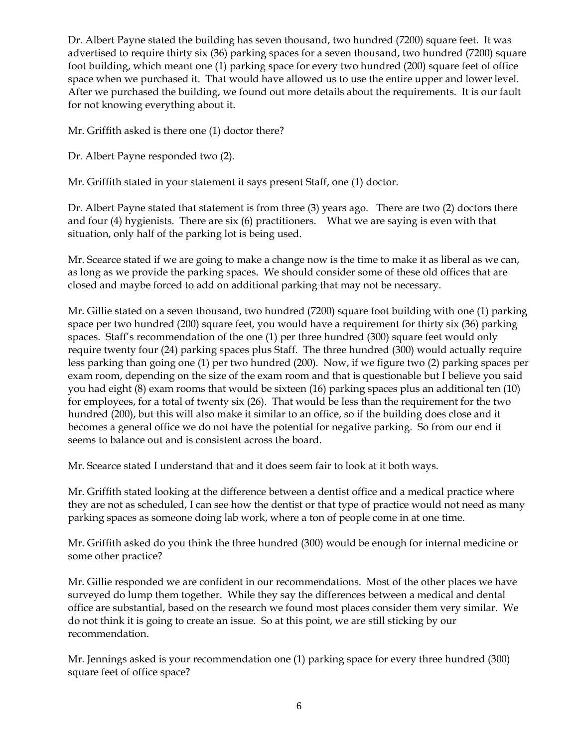Dr. Albert Payne stated the building has seven thousand, two hundred (7200) square feet. It was advertised to require thirty six (36) parking spaces for a seven thousand, two hundred (7200) square foot building, which meant one (1) parking space for every two hundred (200) square feet of office space when we purchased it. That would have allowed us to use the entire upper and lower level. After we purchased the building, we found out more details about the requirements. It is our fault for not knowing everything about it.

Mr. Griffith asked is there one (1) doctor there?

Dr. Albert Payne responded two (2).

Mr. Griffith stated in your statement it says present Staff, one (1) doctor.

Dr. Albert Payne stated that statement is from three (3) years ago. There are two (2) doctors there and four (4) hygienists. There are six (6) practitioners. What we are saying is even with that situation, only half of the parking lot is being used.

Mr. Scearce stated if we are going to make a change now is the time to make it as liberal as we can, as long as we provide the parking spaces. We should consider some of these old offices that are closed and maybe forced to add on additional parking that may not be necessary.

Mr. Gillie stated on a seven thousand, two hundred (7200) square foot building with one (1) parking space per two hundred (200) square feet, you would have a requirement for thirty six (36) parking spaces. Staff's recommendation of the one (1) per three hundred (300) square feet would only require twenty four (24) parking spaces plus Staff. The three hundred (300) would actually require less parking than going one (1) per two hundred (200). Now, if we figure two (2) parking spaces per exam room, depending on the size of the exam room and that is questionable but I believe you said you had eight (8) exam rooms that would be sixteen (16) parking spaces plus an additional ten (10) for employees, for a total of twenty six (26). That would be less than the requirement for the two hundred (200), but this will also make it similar to an office, so if the building does close and it becomes a general office we do not have the potential for negative parking. So from our end it seems to balance out and is consistent across the board.

Mr. Scearce stated I understand that and it does seem fair to look at it both ways.

Mr. Griffith stated looking at the difference between a dentist office and a medical practice where they are not as scheduled, I can see how the dentist or that type of practice would not need as many parking spaces as someone doing lab work, where a ton of people come in at one time.

Mr. Griffith asked do you think the three hundred (300) would be enough for internal medicine or some other practice?

Mr. Gillie responded we are confident in our recommendations. Most of the other places we have surveyed do lump them together. While they say the differences between a medical and dental office are substantial, based on the research we found most places consider them very similar. We do not think it is going to create an issue. So at this point, we are still sticking by our recommendation.

Mr. Jennings asked is your recommendation one (1) parking space for every three hundred (300) square feet of office space?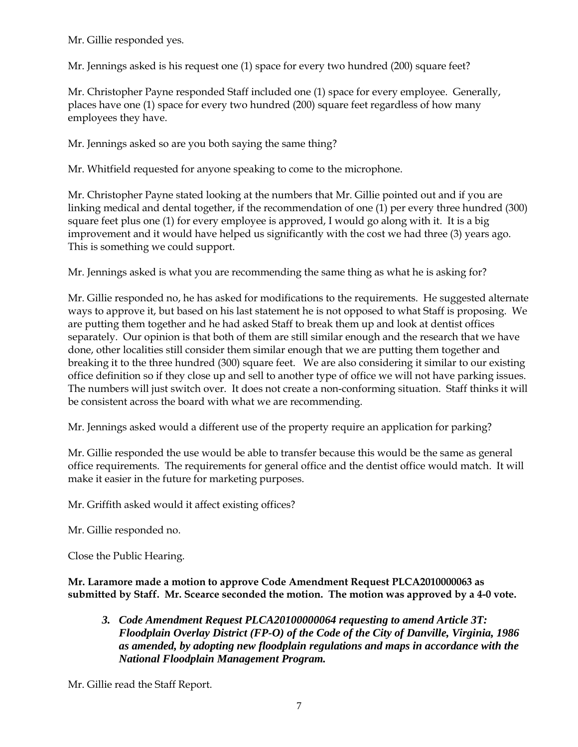Mr. Gillie responded yes.

Mr. Jennings asked is his request one (1) space for every two hundred (200) square feet?

Mr. Christopher Payne responded Staff included one (1) space for every employee. Generally, places have one (1) space for every two hundred (200) square feet regardless of how many employees they have.

Mr. Jennings asked so are you both saying the same thing?

Mr. Whitfield requested for anyone speaking to come to the microphone.

Mr. Christopher Payne stated looking at the numbers that Mr. Gillie pointed out and if you are linking medical and dental together, if the recommendation of one (1) per every three hundred (300) square feet plus one (1) for every employee is approved, I would go along with it. It is a big improvement and it would have helped us significantly with the cost we had three (3) years ago. This is something we could support.

Mr. Jennings asked is what you are recommending the same thing as what he is asking for?

Mr. Gillie responded no, he has asked for modifications to the requirements. He suggested alternate ways to approve it, but based on his last statement he is not opposed to what Staff is proposing. We are putting them together and he had asked Staff to break them up and look at dentist offices separately. Our opinion is that both of them are still similar enough and the research that we have done, other localities still consider them similar enough that we are putting them together and breaking it to the three hundred (300) square feet. We are also considering it similar to our existing office definition so if they close up and sell to another type of office we will not have parking issues. The numbers will just switch over. It does not create a non-conforming situation. Staff thinks it will be consistent across the board with what we are recommending.

Mr. Jennings asked would a different use of the property require an application for parking?

Mr. Gillie responded the use would be able to transfer because this would be the same as general office requirements. The requirements for general office and the dentist office would match. It will make it easier in the future for marketing purposes.

Mr. Griffith asked would it affect existing offices?

Mr. Gillie responded no.

Close the Public Hearing.

**Mr. Laramore made a motion to approve Code Amendment Request PLCA2010000063 as submitted by Staff. Mr. Scearce seconded the motion. The motion was approved by a 4-0 vote.**

*3. Code Amendment Request PLCA20100000064 requesting to amend Article 3T: Floodplain Overlay District (FP-O) of the Code of the City of Danville, Virginia, 1986 as amended, by adopting new floodplain regulations and maps in accordance with the National Floodplain Management Program.* 

Mr. Gillie read the Staff Report.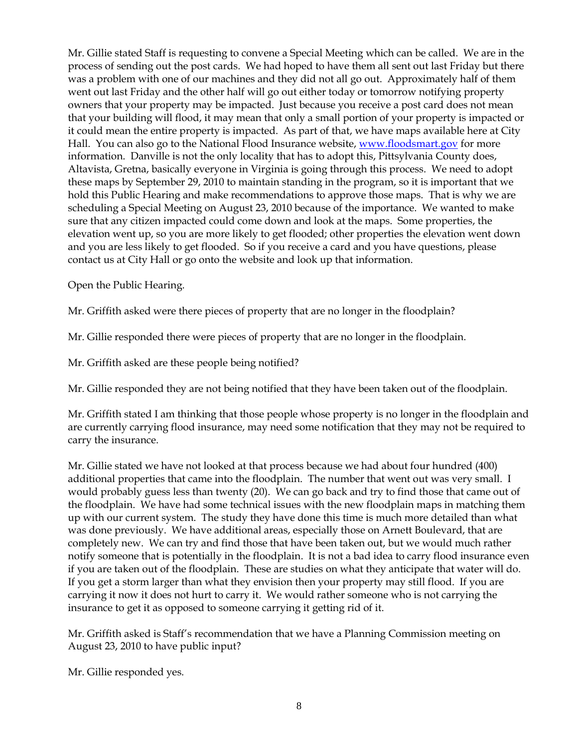Mr. Gillie stated Staff is requesting to convene a Special Meeting which can be called. We are in the process of sending out the post cards. We had hoped to have them all sent out last Friday but there was a problem with one of our machines and they did not all go out. Approximately half of them went out last Friday and the other half will go out either today or tomorrow notifying property owners that your property may be impacted. Just because you receive a post card does not mean that your building will flood, it may mean that only a small portion of your property is impacted or it could mean the entire property is impacted. As part of that, we have maps available here at City Hall. You can also go to the National Flood Insurance website, [www.floodsmart.gov](http://www.floodsmart.gov/) for more information. Danville is not the only locality that has to adopt this, Pittsylvania County does, Altavista, Gretna, basically everyone in Virginia is going through this process. We need to adopt these maps by September 29, 2010 to maintain standing in the program, so it is important that we hold this Public Hearing and make recommendations to approve those maps. That is why we are scheduling a Special Meeting on August 23, 2010 because of the importance. We wanted to make sure that any citizen impacted could come down and look at the maps. Some properties, the elevation went up, so you are more likely to get flooded; other properties the elevation went down and you are less likely to get flooded. So if you receive a card and you have questions, please contact us at City Hall or go onto the website and look up that information.

Open the Public Hearing.

Mr. Griffith asked were there pieces of property that are no longer in the floodplain?

Mr. Gillie responded there were pieces of property that are no longer in the floodplain.

Mr. Griffith asked are these people being notified?

Mr. Gillie responded they are not being notified that they have been taken out of the floodplain.

Mr. Griffith stated I am thinking that those people whose property is no longer in the floodplain and are currently carrying flood insurance, may need some notification that they may not be required to carry the insurance.

Mr. Gillie stated we have not looked at that process because we had about four hundred (400) additional properties that came into the floodplain. The number that went out was very small. I would probably guess less than twenty (20). We can go back and try to find those that came out of the floodplain. We have had some technical issues with the new floodplain maps in matching them up with our current system. The study they have done this time is much more detailed than what was done previously. We have additional areas, especially those on Arnett Boulevard, that are completely new. We can try and find those that have been taken out, but we would much rather notify someone that is potentially in the floodplain. It is not a bad idea to carry flood insurance even if you are taken out of the floodplain. These are studies on what they anticipate that water will do. If you get a storm larger than what they envision then your property may still flood. If you are carrying it now it does not hurt to carry it. We would rather someone who is not carrying the insurance to get it as opposed to someone carrying it getting rid of it.

Mr. Griffith asked is Staff's recommendation that we have a Planning Commission meeting on August 23, 2010 to have public input?

Mr. Gillie responded yes.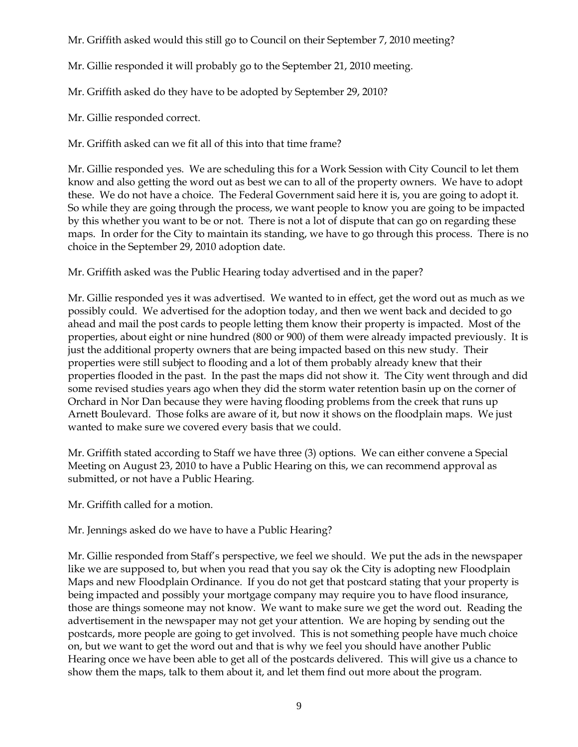Mr. Griffith asked would this still go to Council on their September 7, 2010 meeting?

Mr. Gillie responded it will probably go to the September 21, 2010 meeting.

Mr. Griffith asked do they have to be adopted by September 29, 2010?

Mr. Gillie responded correct.

Mr. Griffith asked can we fit all of this into that time frame?

Mr. Gillie responded yes. We are scheduling this for a Work Session with City Council to let them know and also getting the word out as best we can to all of the property owners. We have to adopt these. We do not have a choice. The Federal Government said here it is, you are going to adopt it. So while they are going through the process, we want people to know you are going to be impacted by this whether you want to be or not. There is not a lot of dispute that can go on regarding these maps. In order for the City to maintain its standing, we have to go through this process. There is no choice in the September 29, 2010 adoption date.

Mr. Griffith asked was the Public Hearing today advertised and in the paper?

Mr. Gillie responded yes it was advertised. We wanted to in effect, get the word out as much as we possibly could. We advertised for the adoption today, and then we went back and decided to go ahead and mail the post cards to people letting them know their property is impacted. Most of the properties, about eight or nine hundred (800 or 900) of them were already impacted previously. It is just the additional property owners that are being impacted based on this new study. Their properties were still subject to flooding and a lot of them probably already knew that their properties flooded in the past. In the past the maps did not show it. The City went through and did some revised studies years ago when they did the storm water retention basin up on the corner of Orchard in Nor Dan because they were having flooding problems from the creek that runs up Arnett Boulevard. Those folks are aware of it, but now it shows on the floodplain maps. We just wanted to make sure we covered every basis that we could.

Mr. Griffith stated according to Staff we have three (3) options. We can either convene a Special Meeting on August 23, 2010 to have a Public Hearing on this, we can recommend approval as submitted, or not have a Public Hearing.

Mr. Griffith called for a motion.

Mr. Jennings asked do we have to have a Public Hearing?

Mr. Gillie responded from Staff's perspective, we feel we should. We put the ads in the newspaper like we are supposed to, but when you read that you say ok the City is adopting new Floodplain Maps and new Floodplain Ordinance. If you do not get that postcard stating that your property is being impacted and possibly your mortgage company may require you to have flood insurance, those are things someone may not know. We want to make sure we get the word out. Reading the advertisement in the newspaper may not get your attention. We are hoping by sending out the postcards, more people are going to get involved. This is not something people have much choice on, but we want to get the word out and that is why we feel you should have another Public Hearing once we have been able to get all of the postcards delivered. This will give us a chance to show them the maps, talk to them about it, and let them find out more about the program.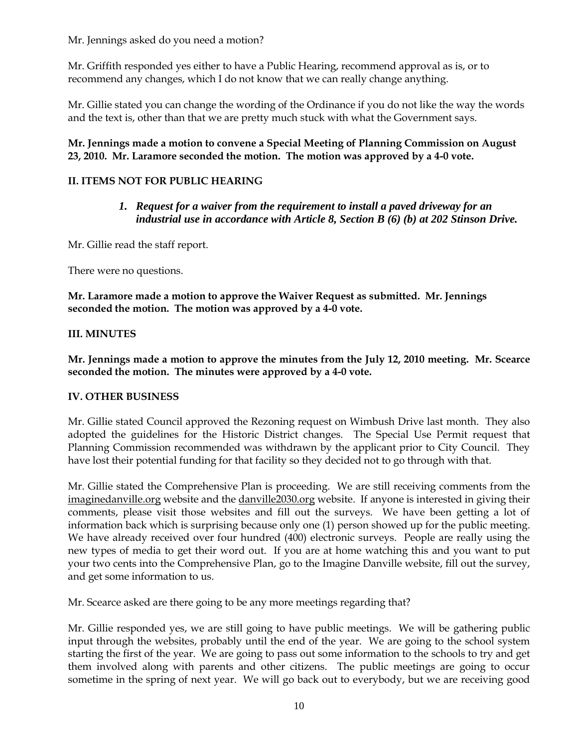Mr. Jennings asked do you need a motion?

Mr. Griffith responded yes either to have a Public Hearing, recommend approval as is, or to recommend any changes, which I do not know that we can really change anything.

Mr. Gillie stated you can change the wording of the Ordinance if you do not like the way the words and the text is, other than that we are pretty much stuck with what the Government says.

### **Mr. Jennings made a motion to convene a Special Meeting of Planning Commission on August 23, 2010. Mr. Laramore seconded the motion. The motion was approved by a 4-0 vote.**

# **II. ITEMS NOT FOR PUBLIC HEARING**

*1. Request for a waiver from the requirement to install a paved driveway for an industrial use in accordance with Article 8, Section B (6) (b) at 202 Stinson Drive.*

Mr. Gillie read the staff report.

There were no questions.

**Mr. Laramore made a motion to approve the Waiver Request as submitted. Mr. Jennings seconded the motion. The motion was approved by a 4-0 vote.**

### **III. MINUTES**

**Mr. Jennings made a motion to approve the minutes from the July 12, 2010 meeting. Mr. Scearce seconded the motion. The minutes were approved by a 4-0 vote.**

# **IV. OTHER BUSINESS**

Mr. Gillie stated Council approved the Rezoning request on Wimbush Drive last month. They also adopted the guidelines for the Historic District changes. The Special Use Permit request that Planning Commission recommended was withdrawn by the applicant prior to City Council. They have lost their potential funding for that facility so they decided not to go through with that.

Mr. Gillie stated the Comprehensive Plan is proceeding. We are still receiving comments from the imaginedanville.org website and the danville2030.org website. If anyone is interested in giving their comments, please visit those websites and fill out the surveys. We have been getting a lot of information back which is surprising because only one (1) person showed up for the public meeting. We have already received over four hundred (400) electronic surveys. People are really using the new types of media to get their word out. If you are at home watching this and you want to put your two cents into the Comprehensive Plan, go to the Imagine Danville website, fill out the survey, and get some information to us.

Mr. Scearce asked are there going to be any more meetings regarding that?

Mr. Gillie responded yes, we are still going to have public meetings. We will be gathering public input through the websites, probably until the end of the year. We are going to the school system starting the first of the year. We are going to pass out some information to the schools to try and get them involved along with parents and other citizens. The public meetings are going to occur sometime in the spring of next year. We will go back out to everybody, but we are receiving good